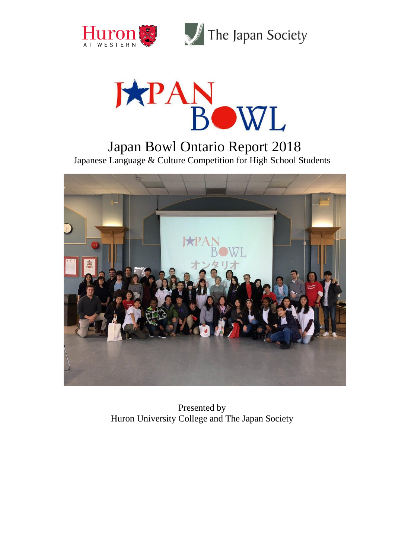



Japan Bowl Ontario Report 2018 Japanese Language & Culture Competition for High School Students



Presented by Huron University College and The Japan Society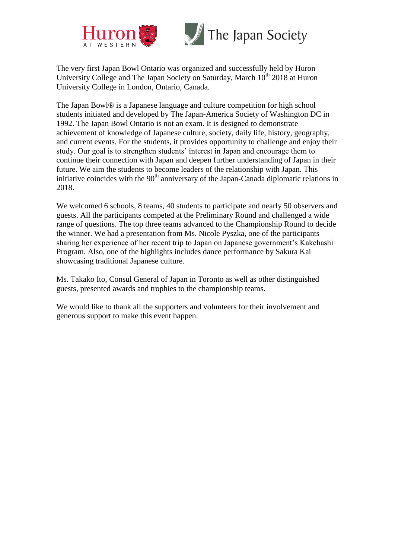



The Japan Society

The very first Japan Bowl Ontario was organized and successfully held by Huron University College and The Japan Society on Saturday, March  $10<sup>th</sup>$  2018 at Huron University College in London, Ontario, Canada.

The Japan Bowl® is a Japanese language and culture competition for high school students initiated and developed by The Japan-America Society of Washington DC in 1992. The Japan Bowl Ontario is not an exam. It is designed to demonstrate achievement of knowledge of Japanese culture, society, daily life, history, geography, and current events. For the students, it provides opportunity to challenge and enjoy their study. Our goal is to strengthen students' interest in Japan and encourage them to continue their connection with Japan and deepen further understanding of Japan in their future. We aim the students to become leaders of the relationship with Japan. This initiative coincides with the  $90<sup>th</sup>$  anniversary of the Japan-Canada diplomatic relations in 2018.

We welcomed 6 schools, 8 teams, 40 students to participate and nearly 50 observers and guests. All the participants competed at the Preliminary Round and challenged a wide range of questions. The top three teams advanced to the Championship Round to decide the winner. We had a presentation from Ms. Nicole Pyszka, one of the participants sharing her experience of her recent trip to Japan on Japanese government's Kakehashi Program. Also, one of the highlights includes dance performance by Sakura Kai showcasing traditional Japanese culture.

Ms. Takako Ito, Consul General of Japan in Toronto as well as other distinguished guests, presented awards and trophies to the championship teams.

We would like to thank all the supporters and volunteers for their involvement and generous support to make this event happen.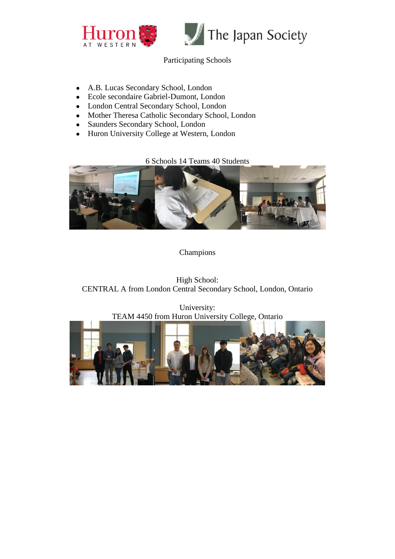



### Participating Schools

- A.B. Lucas Secondary School, London
- Ecole secondaire Gabriel-Dumont, London
- London Central Secondary School, London
- Mother Theresa Catholic Secondary School, London
- Saunders Secondary School, London
- Huron University College at Western, London

6 Schools 14 Teams 40 Students



#### Champions

High School: CENTRAL A from London Central Secondary School, London, Ontario

University: TEAM 4450 from Huron University College, Ontario

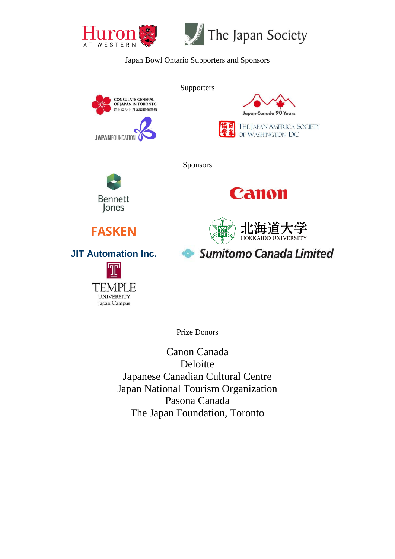



#### Japan Bowl Ontario Supporters and Sponsors



**Supporters** 



**Bennett** Jones



**Canon** 

**Sumitomo Canada Limited** 



# **JIT Automation Inc.**

**FASKEN**

**UNIVERSITY** Japan Campus

Prize Donors

Canon Canada Deloitte Japanese Canadian Cultural Centre Japan National Tourism Organization Pasona Canada The Japan Foundation, Toronto